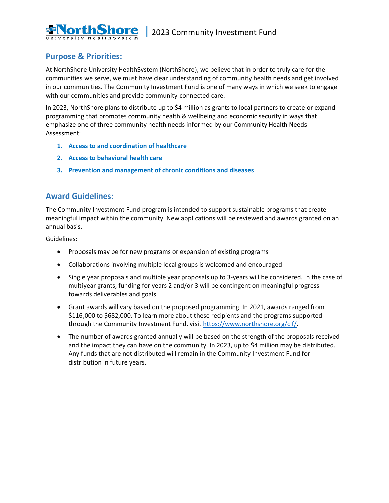

## **Purpose & Priorities:**

At NorthShore University HealthSystem (NorthShore), we believe that in order to truly care for the communities we serve, we must have clear understanding of community health needs and get involved in our communities. The Community Investment Fund is one of many ways in which we seek to engage with our communities and provide community-connected care.

In 2023, NorthShore plans to distribute up to \$4 million as grants to local partners to create or expand programming that promotes community health & wellbeing and economic security in ways that emphasize one of three community health needs informed by our Community Health Needs Assessment:

- **1. Access to and coordination of healthcare**
- **2. Access to behavioral health care**
- **3. Prevention and management of chronic conditions and diseases**

## **Award Guidelines:**

The Community Investment Fund program is intended to support sustainable programs that create meaningful impact within the community. New applications will be reviewed and awards granted on an annual basis.

Guidelines:

- Proposals may be for new programs or expansion of existing programs
- Collaborations involving multiple local groups is welcomed and encouraged
- Single year proposals and multiple year proposals up to 3-years will be considered. In the case of multiyear grants, funding for years 2 and/or 3 will be contingent on meaningful progress towards deliverables and goals.
- Grant awards will vary based on the proposed programming. In 2021, awards ranged from \$116,000 to \$682,000. To learn more about these recipients and the programs supported through the Community Investment Fund, visit [https://www.northshore.org/cif/.](https://www.northshore.org/cif/)
- The number of awards granted annually will be based on the strength of the proposals received and the impact they can have on the community. In 2023, up to \$4 million may be distributed. Any funds that are not distributed will remain in the Community Investment Fund for distribution in future years.